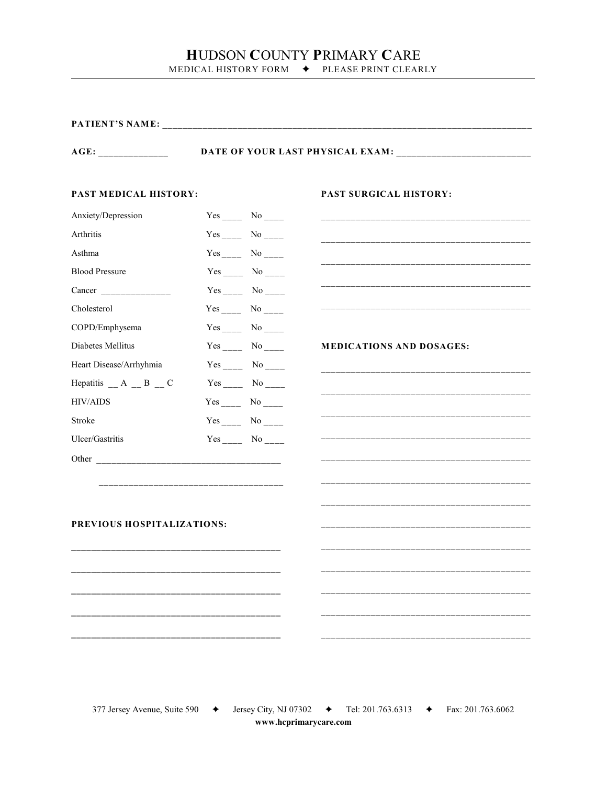# HUDSON COUNTY PRIMARY CARE

MEDICAL HISTORY FORM  $\blacklozenge$  PLEASE PRINT CLEARLY

| $\bf{AGE:}$                |  |                                        |                                                                                                                      |  |
|----------------------------|--|----------------------------------------|----------------------------------------------------------------------------------------------------------------------|--|
| PAST MEDICAL HISTORY:      |  |                                        | PAST SURGICAL HISTORY:                                                                                               |  |
| Anxiety/Depression         |  | Yes $\frac{\ }{\ }$ No $\frac{\ }{\ }$ |                                                                                                                      |  |
| Arthritis                  |  |                                        |                                                                                                                      |  |
| Asthma                     |  |                                        |                                                                                                                      |  |
| <b>Blood Pressure</b>      |  |                                        |                                                                                                                      |  |
|                            |  | $Yes_{\_}$ No $\_$                     |                                                                                                                      |  |
| Cholesterol                |  |                                        |                                                                                                                      |  |
| COPD/Emphysema             |  | $Yes$ <sub>____</sub> No ____          |                                                                                                                      |  |
| Diabetes Mellitus          |  |                                        | <b>MEDICATIONS AND DOSAGES:</b>                                                                                      |  |
| Heart Disease/Arrhyhmia    |  |                                        |                                                                                                                      |  |
| Hepatitis $A \_ B \_ C$    |  |                                        |                                                                                                                      |  |
| <b>HIV/AIDS</b>            |  |                                        | <u>. 2000 - 2000 - 2000 - 2000 - 2000 - 2000 - 2000 - 2000 - 2000 - 2000 - 2000 - 2000 - 2000 - 2000 - 2000 - 20</u> |  |
| Stroke                     |  |                                        |                                                                                                                      |  |
| Ulcer/Gastritis            |  |                                        |                                                                                                                      |  |
|                            |  |                                        |                                                                                                                      |  |
|                            |  |                                        |                                                                                                                      |  |
|                            |  |                                        |                                                                                                                      |  |
|                            |  |                                        |                                                                                                                      |  |
| PREVIOUS HOSPITALIZATIONS: |  |                                        |                                                                                                                      |  |
|                            |  |                                        |                                                                                                                      |  |
|                            |  |                                        |                                                                                                                      |  |
|                            |  |                                        |                                                                                                                      |  |
|                            |  |                                        |                                                                                                                      |  |
|                            |  |                                        |                                                                                                                      |  |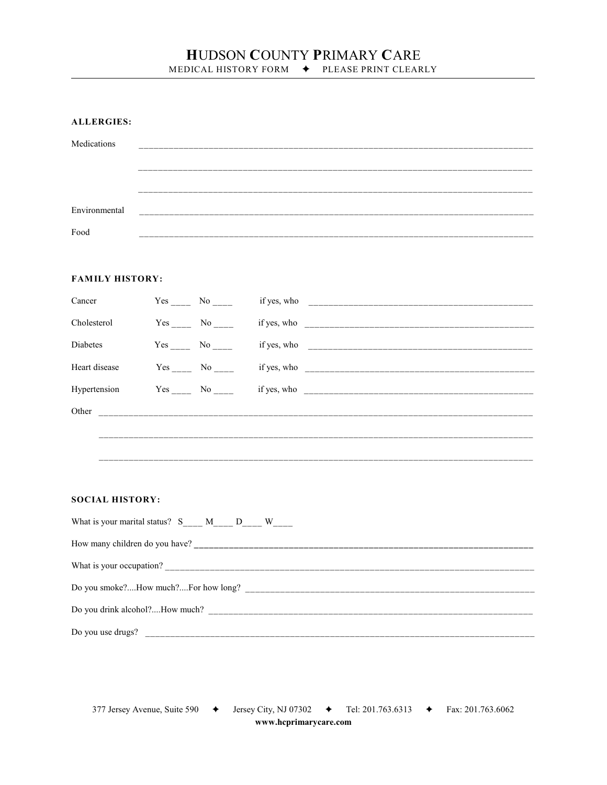## HUDSON COUNTY PRIMARY CARE MEDICAL HISTORY FORM  $\blacklozenge$  PLEASE PRINT CLEARLY

**ALLERGIES:** 

| Medications   | ___                                               |
|---------------|---------------------------------------------------|
|               |                                                   |
|               | _____________________________                     |
|               | _________                                         |
| Environmental |                                                   |
| Food          | ______________________<br>_______________________ |

### **FAMILY HISTORY:**

| Cancer                    | Yes No           |  |
|---------------------------|------------------|--|
| Cholesterol               | Yes No           |  |
| <b>Diabetes</b>           | $Yes \_$ No $\_$ |  |
| Heart disease             | Yes No           |  |
| Hypertension Yes No _____ |                  |  |
|                           |                  |  |
|                           |                  |  |
|                           |                  |  |

#### **SOCIAL HISTORY:**

| What is your marital status? S M D W |
|--------------------------------------|
|                                      |
|                                      |
|                                      |
| Do you drink alcohol?How much?       |
| Do you use drugs?                    |

377 Jersey Avenue, Suite 590 + Sersey City, NJ 07302 + Tel: 201.763.6313 + Fax: 201.763.6062 www.hcprimarycare.com